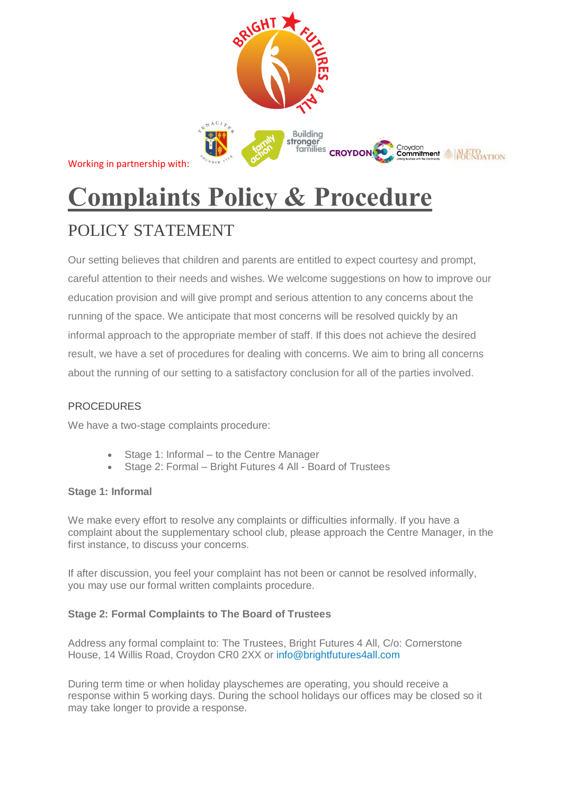

Working in partnership with:

# **Complaints Policy & Procedure**

# POLICY STATEMENT

Our setting believes that children and parents are entitled to expect courtesy and prompt, careful attention to their needs and wishes. We welcome suggestions on how to improve our education provision and will give prompt and serious attention to any concerns about the running of the space. We anticipate that most concerns will be resolved quickly by an informal approach to the appropriate member of staff. If this does not achieve the desired result, we have a set of procedures for dealing with concerns. We aim to bring all concerns about the running of our setting to a satisfactory conclusion for all of the parties involved.

# **PROCEDURES**

We have a two-stage complaints procedure:

- Stage 1: Informal to the Centre Manager
- Stage 2: Formal Bright Futures 4 All Board of Trustees

# **Stage 1: Informal**

We make every effort to resolve any complaints or difficulties informally. If you have a complaint about the supplementary school club, please approach the Centre Manager, in the first instance, to discuss your concerns.

If after discussion, you feel your complaint has not been or cannot be resolved informally, you may use our formal written complaints procedure.

# **Stage 2: Formal Complaints to The Board of Trustees**

Address any formal complaint to: The Trustees, Bright Futures 4 All, C/o: Cornerstone House, 14 Willis Road, Croydon CR0 2XX or info@brightfutures4all.com

During term time or when holiday playschemes are operating, you should receive a response within 5 working days. During the school holidays our offices may be closed so it may take longer to provide a response.